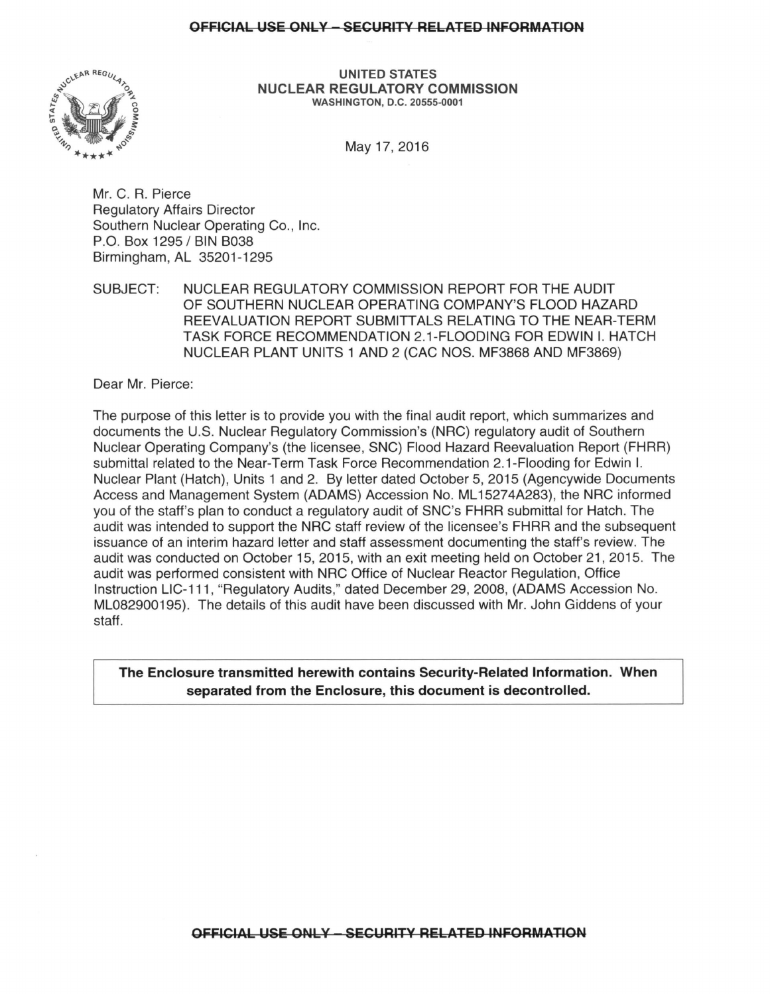## **OFFICIAL USE ONLY - SECURITY RELATED INFORMATION**



**UNITED STATES NUCLEAR REGULATORY COMMISSION**  WASHINGTON, D.C. 20555-0001

May17, 2016

Mr. C. R. Pierce Regulatory Affairs Director Southern Nuclear Operating Co., Inc. P.O. Box 1295 / BIN B038 Birmingham, AL 35201-1295

SUBJECT: NUCLEAR REGULATORY COMMISSION REPORT FOR THE AUDIT OF SOUTHERN NUCLEAR OPERATING COMPANY'S FLOOD HAZARD REEVALUATION REPORT SUBMITTALS RELATING TO THE NEAR-TERM TASK FORCE RECOMMENDATION 2.1-FLOODING FOR EDWIN I. HATCH NUCLEAR PLANT UNITS 1 AND 2 (CAC NOS. MF3868 AND MF3869)

Dear Mr. Pierce:

The purpose of this letter is to provide you with the final audit report, which summarizes and documents the U.S. Nuclear Regulatory Commission's (NRG) regulatory audit of Southern Nuclear Operating Company's (the licensee, SNC) Flood Hazard Reevaluation Report (FHRR) submittal related to the Near-Term Task Force Recommendation 2.1-Flooding for Edwin I. Nuclear Plant (Hatch), Units 1 and 2. By letter dated October 5, 2015 (Agencywide Documents Access and Management System (ADAMS) Accession No. ML 15274A283), the NRG informed you of the staff's plan to conduct a regulatory audit of SNC's FHRR submittal for Hatch. The audit was intended to support the NRG staff review of the licensee's FHRR and the subsequent issuance of an interim hazard letter and staff assessment documenting the staff's review. The audit was conducted on October 15, 2015, with an exit meeting held on October 21, 2015. The audit was performed consistent with NRG Office of Nuclear Reactor Regulation, Office Instruction LIC-111, "Regulatory Audits," dated December 29, 2008, (ADAMS Accession No. ML082900195). The details of this audit have been discussed with Mr. John Giddens of your staff.

**The Enclosure transmitted herewith contains Security-Related Information. When separated from the Enclosure, this document is decontrolled.**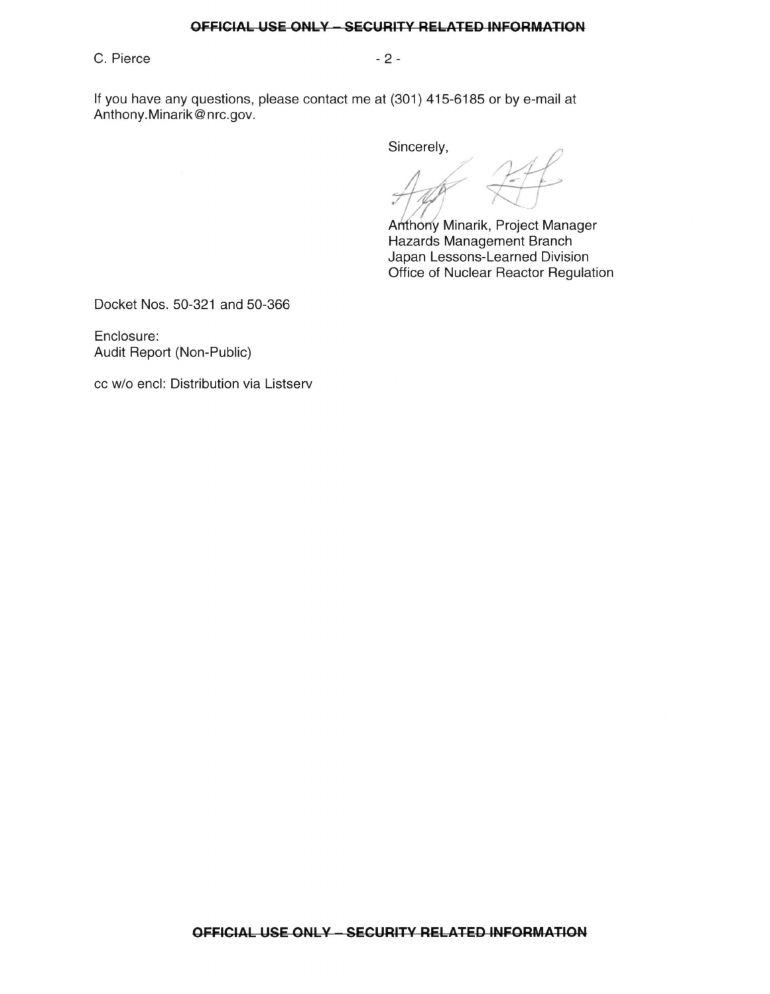## **OFFICIAL USE ONLY - SECURITY RELATED INFORMATION**

C. Pierce - 2 -

If you have any questions, please contact me at (301) 415-6185 or by e-mail at Anthony.Minarik@nrc.gov.

Sincerely,

 $Zf$ 

Anthony Minarik, Project Manager Hazards Management Branch Japan Lessons-Learned Division Office of Nuclear Reactor Regulation

Docket Nos. 50-321 and 50-366

Enclosure: Audit Report (Non-Public)

cc w/o encl: Distribution via Listserv